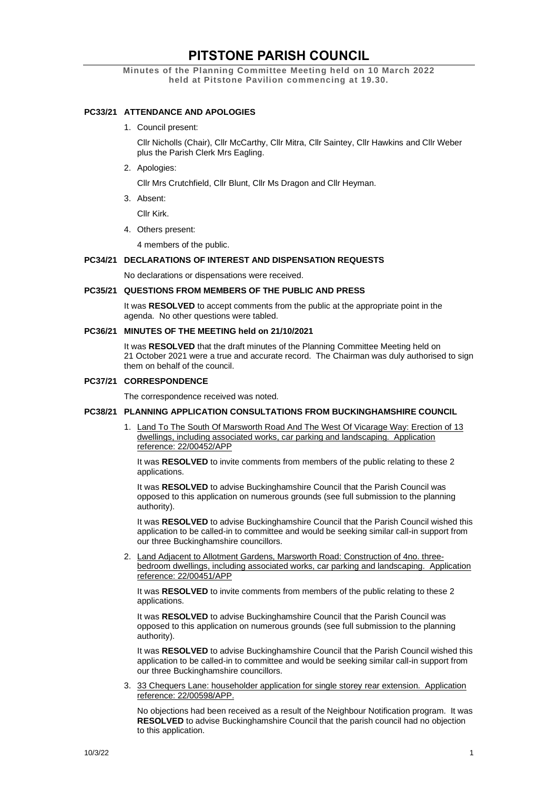# **PITSTONE PARISH COUNCIL**

**Minutes of the Planning Committee Meeting held on 10 March 2022 held at Pitstone Pavilion commencing at 19.30.**

## **PC33/21 ATTENDANCE AND APOLOGIES**

1. Council present:

Cllr Nicholls (Chair), Cllr McCarthy, Cllr Mitra, Cllr Saintey, Cllr Hawkins and Cllr Weber plus the Parish Clerk Mrs Eagling.

2. Apologies:

Cllr Mrs Crutchfield, Cllr Blunt, Cllr Ms Dragon and Cllr Heyman.

3. Absent:

Cllr Kirk.

4. Others present:

4 members of the public.

## **PC34/21 DECLARATIONS OF INTEREST AND DISPENSATION REQUESTS**

No declarations or dispensations were received.

## **PC35/21 QUESTIONS FROM MEMBERS OF THE PUBLIC AND PRESS**

It was **RESOLVED** to accept comments from the public at the appropriate point in the agenda. No other questions were tabled.

## **PC36/21 MINUTES OF THE MEETING held on 21/10/2021**

It was **RESOLVED** that the draft minutes of the Planning Committee Meeting held on 21 October 2021 were a true and accurate record. The Chairman was duly authorised to sign them on behalf of the council.

## **PC37/21 CORRESPONDENCE**

The correspondence received was noted.

## **PC38/21 PLANNING APPLICATION CONSULTATIONS FROM BUCKINGHAMSHIRE COUNCIL**

1. Land To The South Of Marsworth Road And The West Of Vicarage Way: Erection of 13 dwellings, including associated works, car parking and landscaping. Application reference: 22/00452/APP

It was **RESOLVED** to invite comments from members of the public relating to these 2 applications.

It was **RESOLVED** to advise Buckinghamshire Council that the Parish Council was opposed to this application on numerous grounds (see full submission to the planning authority).

It was **RESOLVED** to advise Buckinghamshire Council that the Parish Council wished this application to be called-in to committee and would be seeking similar call-in support from our three Buckinghamshire councillors.

2. Land Adjacent to Allotment Gardens, Marsworth Road: Construction of 4no. threebedroom dwellings, including associated works, car parking and landscaping. Application reference: 22/00451/APP

It was **RESOLVED** to invite comments from members of the public relating to these 2 applications.

It was **RESOLVED** to advise Buckinghamshire Council that the Parish Council was opposed to this application on numerous grounds (see full submission to the planning authority).

It was **RESOLVED** to advise Buckinghamshire Council that the Parish Council wished this application to be called-in to committee and would be seeking similar call-in support from our three Buckinghamshire councillors.

3. 33 Chequers Lane: householder application for single storey rear extension. Application reference: 22/00598/APP.

No objections had been received as a result of the Neighbour Notification program. It was **RESOLVED** to advise Buckinghamshire Council that the parish council had no objection to this application.